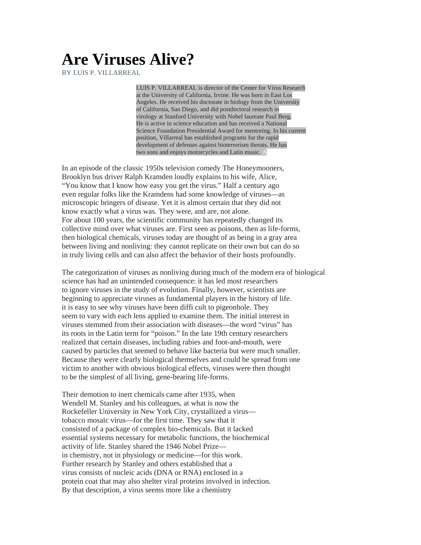## **Are Viruses Alive?**

BY LUIS P. VILLARREAL

LUIS P. VILLARREAL is director of the Center for Virus Research at the University of California, Irvine. He was born in East Los Angeles. He received his doctorate in biology from the University of California, San Diego, and did postdoctoral research in virology at Stanford University with Nobel laureate Paul Berg. He is active in science education and has received a National Science Foundation Presidential Award for mentoring. In his current position, Villarreal has established programs for the rapid development of defenses against bioterrorism threats. He has two sons and enjoys motorcycles and Latin music. A

In an episode of the classic 1950s television comedy The Honeymooners, Brooklyn bus driver Ralph Kramden loudly explains to his wife, Alice, "You know that I know how easy you get the virus." Half a century ago even regular folks like the Kramdens had some knowledge of viruses—as microscopic bringers of disease. Yet it is almost certain that they did not know exactly what a virus was. They were, and are, not alone. For about 100 years, the scientific community has repeatedly changed its collective mind over what viruses are. First seen as poisons, then as life-forms, then biological chemicals, viruses today are thought of as being in a gray area between living and nonliving: they cannot replicate on their own but can do so in truly living cells and can also affect the behavior of their hosts profoundly.

The categorization of viruses as nonliving during much of the modern era of biological science has had an unintended consequence: it has led most researchers to ignore viruses in the study of evolution. Finally, however, scientists are beginning to appreciate viruses as fundamental players in the history of life. it is easy to see why viruses have been diffi cult to pigeonhole. They seem to vary with each lens applied to examine them. The initial interest in viruses stemmed from their association with diseases—the word "virus" has its roots in the Latin term for "poison." In the late 19th century researchers realized that certain diseases, including rabies and foot-and-mouth, were caused by particles that seemed to behave like bacteria but were much smaller. Because they were clearly biological themselves and could be spread from one victim to another with obvious biological effects, viruses were then thought to be the simplest of all living, gene-bearing life-forms.

Their demotion to inert chemicals came after 1935, when Wendell M. Stanley and his colleagues, at what is now the Rockefeller University in New York City, crystallized a virus tobacco mosaic virus—for the first time. They saw that it consisted of a package of complex bio-chemicals. But it lacked essential systems necessary for metabolic functions, the biochemical activity of life. Stanley shared the 1946 Nobel Prize in chemistry, not in physiology or medicine—for this work. Further research by Stanley and others established that a virus consists of nucleic acids (DNA or RNA) enclosed in a protein coat that may also shelter viral proteins involved in infection. By that description, a virus seems more like a chemistry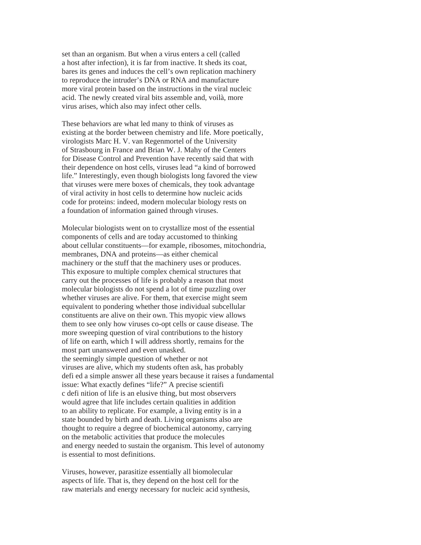set than an organism. But when a virus enters a cell (called a host after infection), it is far from inactive. It sheds its coat, bares its genes and induces the cell's own replication machinery to reproduce the intruder's DNA or RNA and manufacture more viral protein based on the instructions in the viral nucleic acid. The newly created viral bits assemble and, voilà, more virus arises, which also may infect other cells.

These behaviors are what led many to think of viruses as existing at the border between chemistry and life. More poetically, virologists Marc H. V. van Regenmortel of the University of Strasbourg in France and Brian W. J. Mahy of the Centers for Disease Control and Prevention have recently said that with their dependence on host cells, viruses lead "a kind of borrowed life." Interestingly, even though biologists long favored the view that viruses were mere boxes of chemicals, they took advantage of viral activity in host cells to determine how nucleic acids code for proteins: indeed, modern molecular biology rests on a foundation of information gained through viruses.

Molecular biologists went on to crystallize most of the essential components of cells and are today accustomed to thinking about cellular constituents—for example, ribosomes, mitochondria, membranes, DNA and proteins—as either chemical machinery or the stuff that the machinery uses or produces. This exposure to multiple complex chemical structures that carry out the processes of life is probably a reason that most molecular biologists do not spend a lot of time puzzling over whether viruses are alive. For them, that exercise might seem equivalent to pondering whether those individual subcellular constituents are alive on their own. This myopic view allows them to see only how viruses co-opt cells or cause disease. The more sweeping question of viral contributions to the history of life on earth, which I will address shortly, remains for the most part unanswered and even unasked. the seemingly simple question of whether or not viruses are alive, which my students often ask, has probably defi ed a simple answer all these years because it raises a fundamental issue: What exactly defines "life?" A precise scientifi c defi nition of life is an elusive thing, but most observers would agree that life includes certain qualities in addition to an ability to replicate. For example, a living entity is in a state bounded by birth and death. Living organisms also are thought to require a degree of biochemical autonomy, carrying on the metabolic activities that produce the molecules and energy needed to sustain the organism. This level of autonomy is essential to most definitions.

Viruses, however, parasitize essentially all biomolecular aspects of life. That is, they depend on the host cell for the raw materials and energy necessary for nucleic acid synthesis,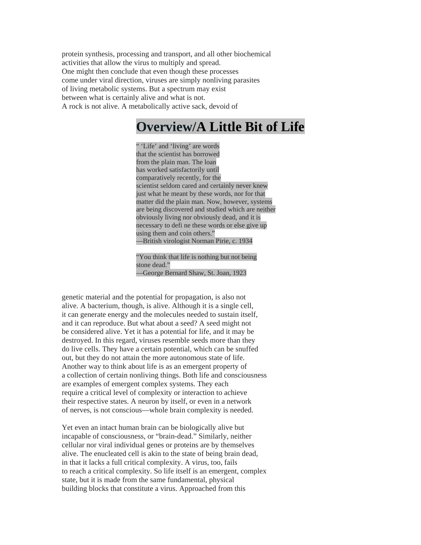protein synthesis, processing and transport, and all other biochemical activities that allow the virus to multiply and spread. One might then conclude that even though these processes come under viral direction, viruses are simply nonliving parasites of living metabolic systems. But a spectrum may exist between what is certainly alive and what is not. A rock is not alive. A metabolically active sack, devoid of

## **Overview/A Little Bit of Life**

" 'Life' and 'living' are words that the scientist has borrowed from the plain man. The loan has worked satisfactorily until comparatively recently, for the scientist seldom cared and certainly never knew just what he meant by these words, nor for that matter did the plain man. Now, however, systems are being discovered and studied which are neither obviously living nor obviously dead, and it is necessary to defi ne these words or else give up using them and coin others." —British virologist Norman Pirie, c. 1934

"You think that life is nothing but not being stone dead." —George Bernard Shaw, St. Joan, 1923

genetic material and the potential for propagation, is also not alive. A bacterium, though, is alive. Although it is a single cell, it can generate energy and the molecules needed to sustain itself, and it can reproduce. But what about a seed? A seed might not be considered alive. Yet it has a potential for life, and it may be destroyed. In this regard, viruses resemble seeds more than they do live cells. They have a certain potential, which can be snuffed out, but they do not attain the more autonomous state of life. Another way to think about life is as an emergent property of a collection of certain nonliving things. Both life and consciousness are examples of emergent complex systems. They each require a critical level of complexity or interaction to achieve their respective states. A neuron by itself, or even in a network of nerves, is not conscious—whole brain complexity is needed.

Yet even an intact human brain can be biologically alive but incapable of consciousness, or "brain-dead." Similarly, neither cellular nor viral individual genes or proteins are by themselves alive. The enucleated cell is akin to the state of being brain dead, in that it lacks a full critical complexity. A virus, too, fails to reach a critical complexity. So life itself is an emergent, complex state, but it is made from the same fundamental, physical building blocks that constitute a virus. Approached from this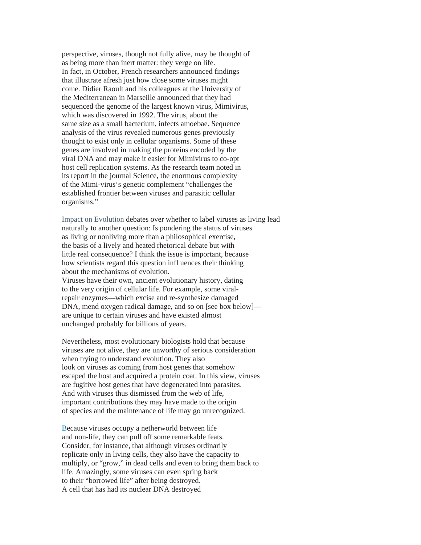perspective, viruses, though not fully alive, may be thought of as being more than inert matter: they verge on life. In fact, in October, French researchers announced findings that illustrate afresh just how close some viruses might come. Didier Raoult and his colleagues at the University of the Mediterranean in Marseille announced that they had sequenced the genome of the largest known virus, Mimivirus, which was discovered in 1992. The virus, about the same size as a small bacterium, infects amoebae. Sequence analysis of the virus revealed numerous genes previously thought to exist only in cellular organisms. Some of these genes are involved in making the proteins encoded by the viral DNA and may make it easier for Mimivirus to co-opt host cell replication systems. As the research team noted in its report in the journal Science, the enormous complexity of the Mimi-virus's genetic complement "challenges the established frontier between viruses and parasitic cellular organisms."

Impact on Evolution debates over whether to label viruses as living lead naturally to another question: Is pondering the status of viruses as living or nonliving more than a philosophical exercise, the basis of a lively and heated rhetorical debate but with little real consequence? I think the issue is important, because how scientists regard this question infl uences their thinking about the mechanisms of evolution. Viruses have their own, ancient evolutionary history, dating to the very origin of cellular life. For example, some viralrepair enzymes—which excise and re-synthesize damaged DNA, mend oxygen radical damage, and so on [see box below] are unique to certain viruses and have existed almost unchanged probably for billions of years.

Nevertheless, most evolutionary biologists hold that because viruses are not alive, they are unworthy of serious consideration when trying to understand evolution. They also look on viruses as coming from host genes that somehow escaped the host and acquired a protein coat. In this view, viruses are fugitive host genes that have degenerated into parasites. And with viruses thus dismissed from the web of life, important contributions they may have made to the origin of species and the maintenance of life may go unrecognized.

Because viruses occupy a netherworld between life and non-life, they can pull off some remarkable feats. Consider, for instance, that although viruses ordinarily replicate only in living cells, they also have the capacity to multiply, or "grow," in dead cells and even to bring them back to life. Amazingly, some viruses can even spring back to their "borrowed life" after being destroyed. A cell that has had its nuclear DNA destroyed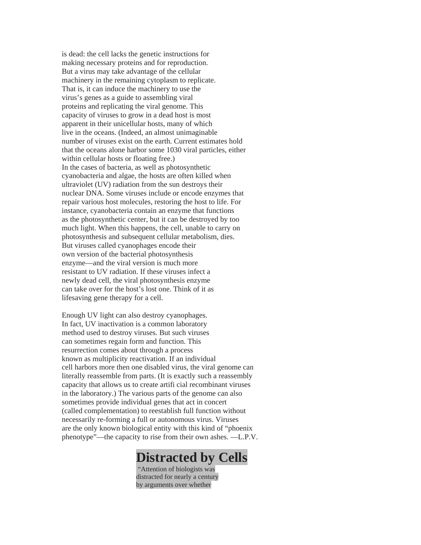is dead: the cell lacks the genetic instructions for making necessary proteins and for reproduction. But a virus may take advantage of the cellular machinery in the remaining cytoplasm to replicate. That is, it can induce the machinery to use the virus's genes as a guide to assembling viral proteins and replicating the viral genome. This capacity of viruses to grow in a dead host is most apparent in their unicellular hosts, many of which live in the oceans. (Indeed, an almost unimaginable number of viruses exist on the earth. Current estimates hold that the oceans alone harbor some 1030 viral particles, either within cellular hosts or floating free.) In the cases of bacteria, as well as photosynthetic cyanobacteria and algae, the hosts are often killed when ultraviolet (UV) radiation from the sun destroys their nuclear DNA. Some viruses include or encode enzymes that repair various host molecules, restoring the host to life. For instance, cyanobacteria contain an enzyme that functions as the photosynthetic center, but it can be destroyed by too much light. When this happens, the cell, unable to carry on photosynthesis and subsequent cellular metabolism, dies. But viruses called cyanophages encode their own version of the bacterial photosynthesis enzyme—and the viral version is much more resistant to UV radiation. If these viruses infect a newly dead cell, the viral photosynthesis enzyme can take over for the host's lost one. Think of it as lifesaving gene therapy for a cell.

Enough UV light can also destroy cyanophages. In fact, UV inactivation is a common laboratory method used to destroy viruses. But such viruses can sometimes regain form and function. This resurrection comes about through a process known as multiplicity reactivation. If an individual cell harbors more then one disabled virus, the viral genome can literally reassemble from parts. (It is exactly such a reassembly capacity that allows us to create artifi cial recombinant viruses in the laboratory.) The various parts of the genome can also sometimes provide individual genes that act in concert (called complementation) to reestablish full function without necessarily re-forming a full or autonomous virus. Viruses are the only known biological entity with this kind of "phoenix phenotype"—the capacity to rise from their own ashes. —L.P.V.

## **Distracted by Cells**

 "Attention of biologists was distracted for nearly a century by arguments over whether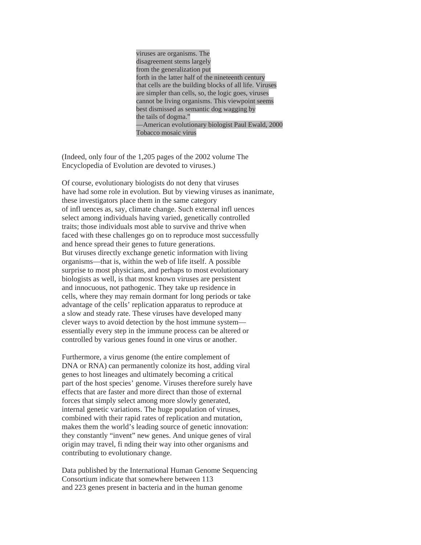viruses are organisms. The disagreement stems largely from the generalization put forth in the latter half of the nineteenth century that cells are the building blocks of all life. Viruses are simpler than cells, so, the logic goes, viruses cannot be living organisms. This viewpoint seems best dismissed as semantic dog wagging by the tails of dogma." —American evolutionary biologist Paul Ewald, 2000 Tobacco mosaic virus

(Indeed, only four of the 1,205 pages of the 2002 volume The Encyclopedia of Evolution are devoted to viruses.)

Of course, evolutionary biologists do not deny that viruses have had some role in evolution. But by viewing viruses as inanimate, these investigators place them in the same category of infl uences as, say, climate change. Such external infl uences select among individuals having varied, genetically controlled traits; those individuals most able to survive and thrive when faced with these challenges go on to reproduce most successfully and hence spread their genes to future generations. But viruses directly exchange genetic information with living organisms—that is, within the web of life itself. A possible surprise to most physicians, and perhaps to most evolutionary biologists as well, is that most known viruses are persistent and innocuous, not pathogenic. They take up residence in cells, where they may remain dormant for long periods or take advantage of the cells' replication apparatus to reproduce at a slow and steady rate. These viruses have developed many clever ways to avoid detection by the host immune system essentially every step in the immune process can be altered or controlled by various genes found in one virus or another.

Furthermore, a virus genome (the entire complement of DNA or RNA) can permanently colonize its host, adding viral genes to host lineages and ultimately becoming a critical part of the host species' genome. Viruses therefore surely have effects that are faster and more direct than those of external forces that simply select among more slowly generated, internal genetic variations. The huge population of viruses, combined with their rapid rates of replication and mutation, makes them the world's leading source of genetic innovation: they constantly "invent" new genes. And unique genes of viral origin may travel, fi nding their way into other organisms and contributing to evolutionary change.

Data published by the International Human Genome Sequencing Consortium indicate that somewhere between 113 and 223 genes present in bacteria and in the human genome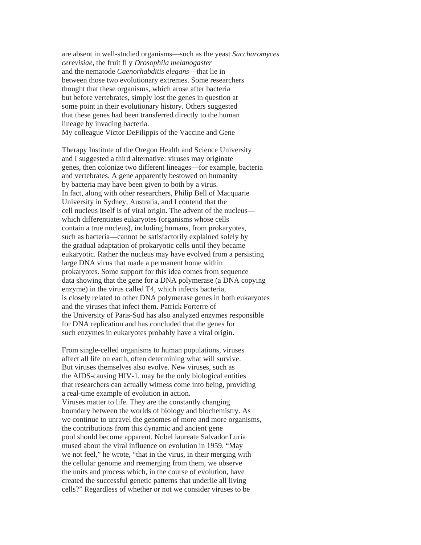are absent in well-studied organisms—such as the yeast *Saccharomyces cerevisiae*, the fruit fl y *Drosophila melanogaster*  and the nematode *Caenorhabditis elegans*—that lie in between those two evolutionary extremes. Some researchers thought that these organisms, which arose after bacteria but before vertebrates, simply lost the genes in question at some point in their evolutionary history. Others suggested that these genes had been transferred directly to the human lineage by invading bacteria. My colleague Victor DeFilippis of the Vaccine and Gene

Therapy Institute of the Oregon Health and Science University and I suggested a third alternative: viruses may originate genes, then colonize two different lineages—for example, bacteria and vertebrates. A gene apparently bestowed on humanity by bacteria may have been given to both by a virus. In fact, along with other researchers, Philip Bell of Macquarie University in Sydney, Australia, and I contend that the cell nucleus itself is of viral origin. The advent of the nucleus which differentiates eukaryotes (organisms whose cells contain a true nucleus), including humans, from prokaryotes, such as bacteria—cannot be satisfactorily explained solely by the gradual adaptation of prokaryotic cells until they became eukaryotic. Rather the nucleus may have evolved from a persisting large DNA virus that made a permanent home within prokaryotes. Some support for this idea comes from sequence data showing that the gene for a DNA polymerase (a DNA copying enzyme) in the virus called T4, which infects bacteria, is closely related to other DNA polymerase genes in both eukaryotes and the viruses that infect them. Patrick Forterre of the University of Paris-Sud has also analyzed enzymes responsible for DNA replication and has concluded that the genes for such enzymes in eukaryotes probably have a viral origin.

From single-celled organisms to human populations, viruses affect all life on earth, often determining what will survive. But viruses themselves also evolve. New viruses, such as the AIDS-causing HIV-1, may be the only biological entities that researchers can actually witness come into being, providing a real-time example of evolution in action. Viruses matter to life. They are the constantly changing boundary between the worlds of biology and biochemistry. As we continue to unravel the genomes of more and more organisms, the contributions from this dynamic and ancient gene pool should become apparent. Nobel laureate Salvador Luria mused about the viral influence on evolution in 1959. "May we not feel," he wrote, "that in the virus, in their merging with the cellular genome and reemerging from them, we observe the units and process which, in the course of evolution, have created the successful genetic patterns that underlie all living cells?" Regardless of whether or not we consider viruses to be